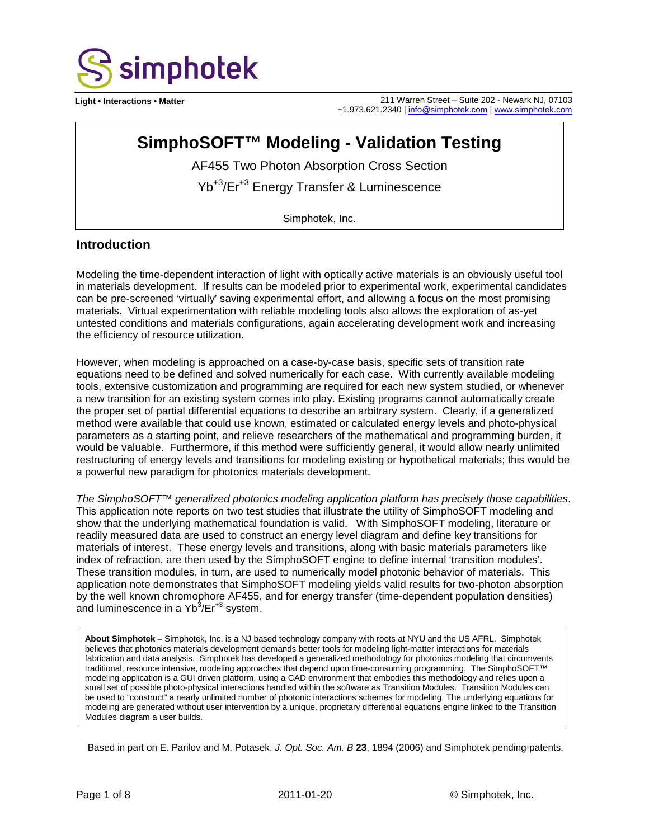

**Light • Interactions • Matter** 211 Warren Street – Suite 202 - Newark NJ, 07103 +1.973.621.2340 [| info@simphotek.com](mailto:info@simphotek.com) [| www.simphotek.com](http://www.simphotek.com/)

# **SimphoSOFT™ Modeling - Validation Testing**

AF455 Two Photon Absorption Cross Section

Yb+3/Er+3 Energy Transfer & Luminescence

Simphotek, Inc.

#### **Introduction**

Modeling the time-dependent interaction of light with optically active materials is an obviously useful tool in materials development. If results can be modeled prior to experimental work, experimental candidates can be pre-screened 'virtually' saving experimental effort, and allowing a focus on the most promising materials. Virtual experimentation with reliable modeling tools also allows the exploration of as-yet untested conditions and materials configurations, again accelerating development work and increasing the efficiency of resource utilization.

However, when modeling is approached on a case-by-case basis, specific sets of transition rate equations need to be defined and solved numerically for each case. With currently available modeling tools, extensive customization and programming are required for each new system studied, or whenever a new transition for an existing system comes into play. Existing programs cannot automatically create the proper set of partial differential equations to describe an arbitrary system. Clearly, if a generalized method were available that could use known, estimated or calculated energy levels and photo-physical parameters as a starting point, and relieve researchers of the mathematical and programming burden, it would be valuable. Furthermore, if this method were sufficiently general, it would allow nearly unlimited restructuring of energy levels and transitions for modeling existing or hypothetical materials; this would be a powerful new paradigm for photonics materials development.

*The SimphoSOFT™ generalized photonics modeling application platform has precisely those capabilities*. This application note reports on two test studies that illustrate the utility of SimphoSOFT modeling and show that the underlying mathematical foundation is valid. With SimphoSOFT modeling, literature or readily measured data are used to construct an energy level diagram and define key transitions for materials of interest. These energy levels and transitions, along with basic materials parameters like index of refraction, are then used by the SimphoSOFT engine to define internal 'transition modules'. These transition modules, in turn, are used to numerically model photonic behavior of materials. This application note demonstrates that SimphoSOFT modeling yields valid results for two-photon absorption by the well known chromophore AF455, and for energy transfer (time-dependent population densities) and luminescence in a Yb<sup>3</sup>/Er<sup>+3</sup> system.

**About Simphotek** – Simphotek, Inc. is a NJ based technology company with roots at NYU and the US AFRL. Simphotek believes that photonics materials development demands better tools for modeling light-matter interactions for materials fabrication and data analysis. Simphotek has developed a generalized methodology for photonics modeling that circumvents traditional, resource intensive, modeling approaches that depend upon time-consuming programming. The SimphoSOFT™ modeling application is a GUI driven platform, using a CAD environment that embodies this methodology and relies upon a small set of possible photo-physical interactions handled within the software as Transition Modules. Transition Modules can be used to "construct" a nearly unlimited number of photonic interactions schemes for modeling. The underlying equations for modeling are generated without user intervention by a unique, proprietary differential equations engine linked to the Transition Modules diagram a user builds.

Based in part on E. Parilov and M. Potasek, *J. Opt. Soc. Am. B* **23**, 1894 (2006) and Simphotek pending-patents.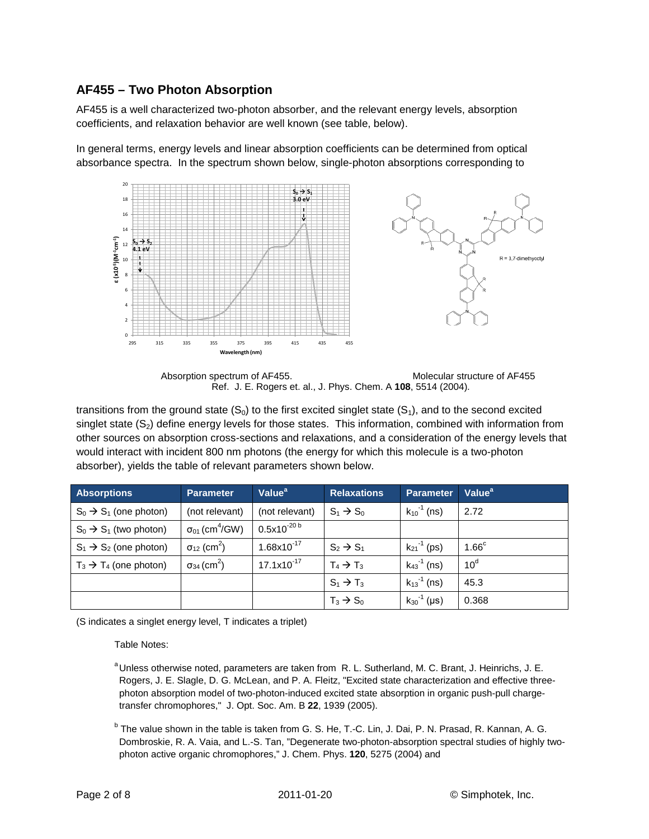### **AF455 – Two Photon Absorption**

AF455 is a well characterized two-photon absorber, and the relevant energy levels, absorption coefficients, and relaxation behavior are well known (see table, below).

In general terms, energy levels and linear absorption coefficients can be determined from optical absorbance spectra. In the spectrum shown below, single-photon absorptions corresponding to



Absorption spectrum of AF455. Molecular structure of AF455 Ref. J. E. Rogers et. al., J. Phys. Chem. A **108**, 5514 (2004).

transitions from the ground state  $(S_0)$  to the first excited singlet state  $(S_1)$ , and to the second excited singlet state  $(S_2)$  define energy levels for those states. This information, combined with information from other sources on absorption cross-sections and relaxations, and a consideration of the energy levels that would interact with incident 800 nm photons (the energy for which this molecule is a two-photon absorber), yields the table of relevant parameters shown below.

| <b>Absorptions</b>                 | <b>Parameter</b>                    | Value <sup>a</sup> | <b>Relaxations</b>    | <b>Parameter</b>            | Value <sup>a</sup> |
|------------------------------------|-------------------------------------|--------------------|-----------------------|-----------------------------|--------------------|
| $S_0 \rightarrow S_1$ (one photon) | (not relevant)                      | (not relevant)     | $S_1 \rightarrow S_0$ | $k_{10}$ <sup>-1</sup> (ns) | 2.72               |
| $S_0 \rightarrow S_1$ (two photon) | $\sigma_{01}$ (cm <sup>4</sup> /GW) | $0.5x10^{-20 b}$   |                       |                             |                    |
| $S_1 \rightarrow S_2$ (one photon) | $\sigma_{12}$ (cm <sup>2</sup> )    | $1.68x10^{-17}$    | $S_2 \rightarrow S_1$ | $k_{21}$ <sup>-1</sup> (ps) | 1.66 <sup>c</sup>  |
| $T_3 \rightarrow T_4$ (one photon) | $\sigma_{34}$ (cm <sup>2</sup> )    | $17.1x10^{-17}$    | $T_4 \rightarrow T_3$ | $k_{43}^{-1}$ (ns)          | 10 <sup>d</sup>    |
|                                    |                                     |                    | $S_1 \rightarrow T_3$ | $k_{13}^{-1}$ (ns)          | 45.3               |
|                                    |                                     |                    | $T_3 \rightarrow S_0$ | $k_{30}^{-1}$ (µs)          | 0.368              |

(S indicates a singlet energy level, T indicates a triplet)

Table Notes:

<sup>a</sup> Unless otherwise noted, parameters are taken from R. L. Sutherland, M. C. Brant, J. Heinrichs, J. E. Rogers, J. E. Slagle, D. G. McLean, and P. A. Fleitz, "Excited state characterization and effective threephoton absorption model of two-photon-induced excited state absorption in organic push-pull chargetransfer chromophores," J. Opt. Soc. Am. B **22**, 1939 (2005).

<sup>b</sup> The value shown in the table is taken from G. S. He, T.-C. Lin, J. Dai, P. N. Prasad, R. Kannan, A. G. Dombroskie, R. A. Vaia, and L.-S. Tan, "Degenerate two-photon-absorption spectral studies of highly twophoton active organic chromophores," J. Chem. Phys. **120**, 5275 (2004) and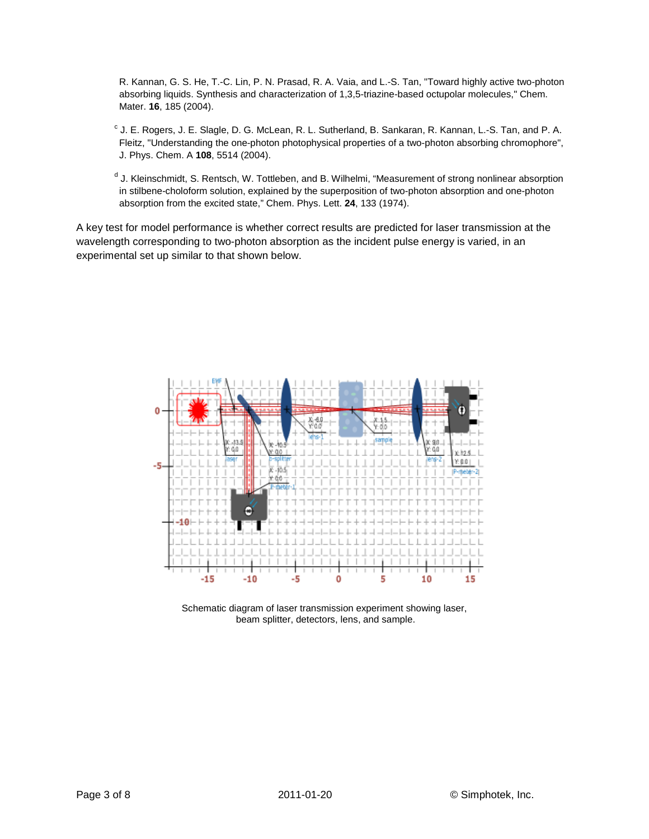R. Kannan, G. S. He, T.-C. Lin, P. N. Prasad, R. A. Vaia, and L.-S. Tan, "Toward highly active two-photon absorbing liquids. Synthesis and characterization of 1,3,5-triazine-based octupolar molecules," Chem. Mater. **16**, 185 (2004).

 $c$  J. E. Rogers, J. E. Slagle, D. G. McLean, R. L. Sutherland, B. Sankaran, R. Kannan, L.-S. Tan, and P. A. Fleitz, "Understanding the one-photon photophysical properties of a two-photon absorbing chromophore", J. Phys. Chem. A **108**, 5514 (2004).

<sup>d</sup> J. Kleinschmidt, S. Rentsch, W. Tottleben, and B. Wilhelmi, "Measurement of strong nonlinear absorption in stilbene-choloform solution, explained by the superposition of two-photon absorption and one-photon absorption from the excited state," Chem. Phys. Lett. **24**, 133 (1974).

A key test for model performance is whether correct results are predicted for laser transmission at the wavelength corresponding to two-photon absorption as the incident pulse energy is varied, in an experimental set up similar to that shown below.



Schematic diagram of laser transmission experiment showing laser, beam splitter, detectors, lens, and sample.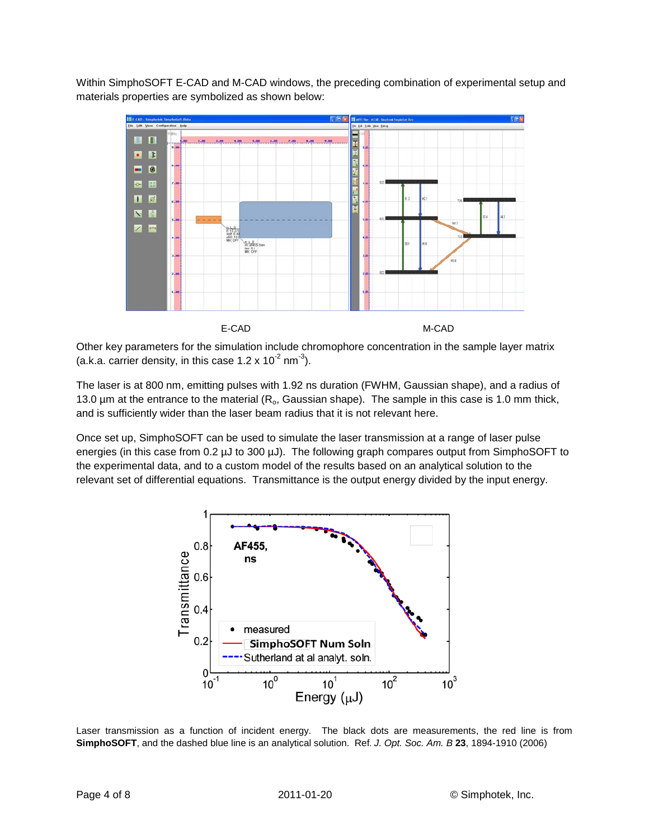Within SimphoSOFT E-CAD and M-CAD windows, the preceding combination of experimental setup and materials properties are symbolized as shown below:



Other key parameters for the simulation include chromophore concentration in the sample layer matrix (a.k.a. carrier density, in this case 1.2 x 10<sup>-2</sup> nm<sup>-3</sup>).

The laser is at 800 nm, emitting pulses with 1.92 ns duration (FWHM, Gaussian shape), and a radius of 13.0  $\mu$ m at the entrance to the material ( $R_0$ , Gaussian shape). The sample in this case is 1.0 mm thick, and is sufficiently wider than the laser beam radius that it is not relevant here.

Once set up, SimphoSOFT can be used to simulate the laser transmission at a range of laser pulse energies (in this case from 0.2  $\mu$ J to 300  $\mu$ J). The following graph compares output from SimphoSOFT to the experimental data, and to a custom model of the results based on an analytical solution to the relevant set of differential equations. Transmittance is the output energy divided by the input energy.



Laser transmission as a function of incident energy. The black dots are measurements, the red line is from **SimphoSOFT**, and the dashed blue line is an analytical solution. Ref. *J. Opt. Soc. Am. B* **23**, 1894-1910 (2006)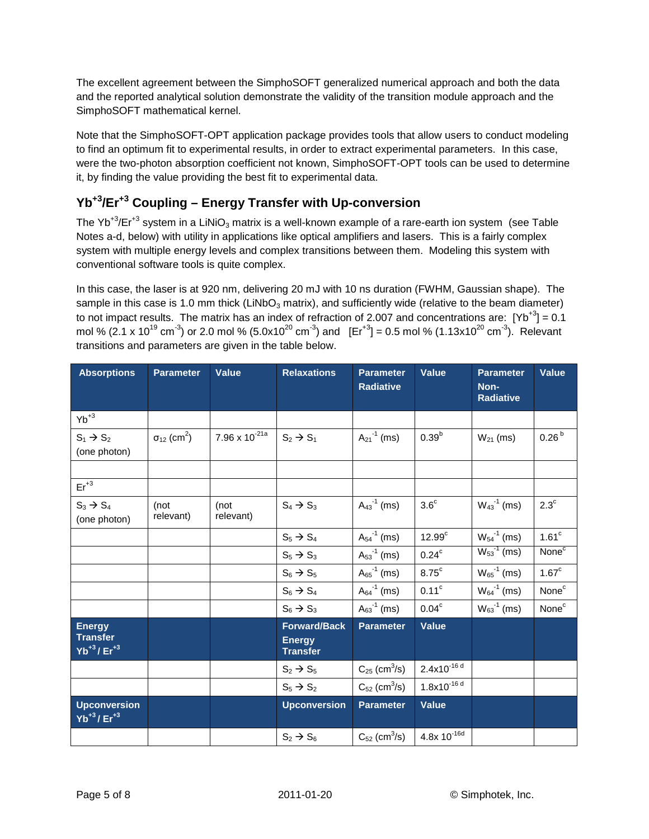The excellent agreement between the SimphoSOFT generalized numerical approach and both the data and the reported analytical solution demonstrate the validity of the transition module approach and the SimphoSOFT mathematical kernel.

Note that the SimphoSOFT-OPT application package provides tools that allow users to conduct modeling to find an optimum fit to experimental results, in order to extract experimental parameters. In this case, were the two-photon absorption coefficient not known, SimphoSOFT-OPT tools can be used to determine it, by finding the value providing the best fit to experimental data.

## **Yb+3/Er+3 Coupling – Energy Transfer with Up-conversion**

The Yb<sup>+3</sup>/Er<sup>+3</sup> system in a LiNiO<sub>3</sub> matrix is a well-known example of a rare-earth ion system (see Table Notes a-d, below) with utility in applications like optical amplifiers and lasers. This is a fairly complex system with multiple energy levels and complex transitions between them. Modeling this system with conventional software tools is quite complex.

In this case, the laser is at 920 nm, delivering 20 mJ with 10 ns duration (FWHM, Gaussian shape). The sample in this case is 1.0 mm thick (LiNbO $_3$  matrix), and sufficiently wide (relative to the beam diameter) to not impact results. The matrix has an index of refraction of 2.007 and concentrations are:  $[Yb^{+3}] = 0.1$ mol % (2.1 x 10<sup>19</sup> cm<sup>-3</sup>) or 2.0 mol % (5.0x10<sup>20</sup> cm<sup>-3</sup>) and  $[Er^{+3}] = 0.5$  mol % (1.13x10<sup>20</sup> cm<sup>-3</sup>). Relevant transitions and parameters are given in the table below.

| <b>Absorptions</b>                                      | <b>Parameter</b>                 | <b>Value</b>       | <b>Relaxations</b>                                      | <b>Parameter</b><br><b>Radiative</b> | <b>Value</b>       | <b>Parameter</b><br>Non-<br><b>Radiative</b> | <b>Value</b>      |
|---------------------------------------------------------|----------------------------------|--------------------|---------------------------------------------------------|--------------------------------------|--------------------|----------------------------------------------|-------------------|
| $Yb^{+3}$                                               |                                  |                    |                                                         |                                      |                    |                                              |                   |
| $S_1 \rightarrow S_2$<br>(one photon)                   | $\sigma_{12}$ (cm <sup>2</sup> ) | 7.96 x $10^{-21a}$ | $S_2 \rightarrow S_1$                                   | $A_{21}^{-1}$ (ms)                   | $0.39^{b}$         | $W_{21}$ (ms)                                | 0.26 <sup>b</sup> |
|                                                         |                                  |                    |                                                         |                                      |                    |                                              |                   |
| $Er^{+3}$                                               |                                  |                    |                                                         |                                      |                    |                                              |                   |
| $S_3 \rightarrow S_4$<br>(one photon)                   | (not<br>relevant)                | (not<br>relevant)  | $S_4 \rightarrow S_3$                                   | $A_{43}^{-1}$ (ms)                   | 3.6 <sup>c</sup>   | $W_{43}$ <sup>-1</sup> (ms)                  | $2.3^\circ$       |
|                                                         |                                  |                    | $S_5 \rightarrow S_4$                                   | $A_{54}^{-1}$ (ms)                   | 12.99 <sup>c</sup> | $W_{54}$ <sup>-1</sup> (ms)                  | 1.61 <sup>c</sup> |
|                                                         |                                  |                    | $S_5 \rightarrow S_3$                                   | $A_{53}^{-1}$ (ms)                   | 0.24 <sup>c</sup>  | $W_{53}^{-1}$ (ms)                           | None <sup>c</sup> |
|                                                         |                                  |                    | $S_6 \rightarrow S_5$                                   | $A_{65}^{-1}$ (ms)                   | $8.75^{\circ}$     | $W_{65}^{-1}$ (ms)                           | 1.67 <sup>c</sup> |
|                                                         |                                  |                    | $S_6 \rightarrow S_4$                                   | $A_{64}^{-1}$ (ms)                   | 0.11 <sup>c</sup>  | $W_{64}$ <sup>-1</sup> (ms)                  | None <sup>c</sup> |
|                                                         |                                  |                    | $S_6 \rightarrow S_3$                                   | $A_{63}^{-1}$ (ms)                   | $0.04^{\circ}$     | $W_{63}^{-1}$ (ms)                           | None <sup>c</sup> |
| <b>Energy</b><br><b>Transfer</b><br>$Yb^{+3} / Er^{+3}$ |                                  |                    | <b>Forward/Back</b><br><b>Energy</b><br><b>Transfer</b> | <b>Parameter</b>                     | <b>Value</b>       |                                              |                   |
|                                                         |                                  |                    | $S_2 \rightarrow S_5$                                   | $C_{25}$ (cm <sup>3</sup> /s)        | $2.4x10^{-16 d}$   |                                              |                   |
|                                                         |                                  |                    | $S_5 \rightarrow S_2$                                   | $C_{52}$ (cm <sup>3</sup> /s)        | $1.8x10^{-16 d}$   |                                              |                   |
| <b>Upconversion</b><br>$Yb^{+3} / Er^{+3}$              |                                  |                    | <b>Upconversion</b>                                     | <b>Parameter</b>                     | <b>Value</b>       |                                              |                   |
|                                                         |                                  |                    | $S_2 \rightarrow S_6$                                   | $C_{52}$ (cm <sup>3</sup> /s)        | $4.8x 10^{-16d}$   |                                              |                   |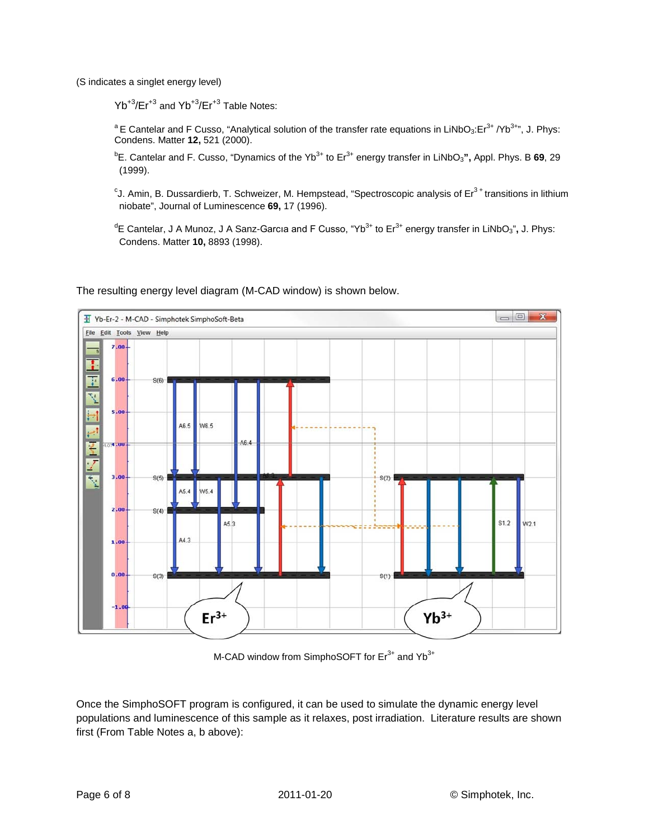(S indicates a singlet energy level)

 $Yb^{+3}/Er^{+3}$  and  $Yb^{+3}/Er^{+3}$  Table Notes:

<sup>a</sup> E Cantelar and F Cusso, "Analytical solution of the transfer rate equations in LiNbO<sub>3</sub>:Er<sup>3+</sup> /Yb<sup>3+</sup>", J. Phys: Condens. Matter **12,** 521 (2000).

<sup>b</sup>E. Cantelar and F. Cusso, "Dynamics of the Yb<sup>3+</sup> to Er<sup>3+</sup> energy transfer in LiNbO<sub>3</sub>", Appl. Phys. B 69, 29 (1999).

°J. Amin, B. Dussardierb, T. Schweizer, M. Hempstead, "Spectroscopic analysis of Er $^{3+}$ transitions in lithium niobate", Journal of Luminescence **69,** 17 (1996).

<sup>d</sup>E Cantelar, J A Munoz, J A Sanz-Garcıa and F Cusso, "Yb<sup>3+</sup> to Er<sup>3+</sup> energy transfer in LiNbO<sub>3</sub>", J. Phys: Condens. Matter **10,** 8893 (1998).



The resulting energy level diagram (M-CAD window) is shown below.

M-CAD window from SimphoSOFT for  $Er^{3+}$  and  $Yb^{3+}$ 

Once the SimphoSOFT program is configured, it can be used to simulate the dynamic energy level populations and luminescence of this sample as it relaxes, post irradiation. Literature results are shown first (From Table Notes a, b above):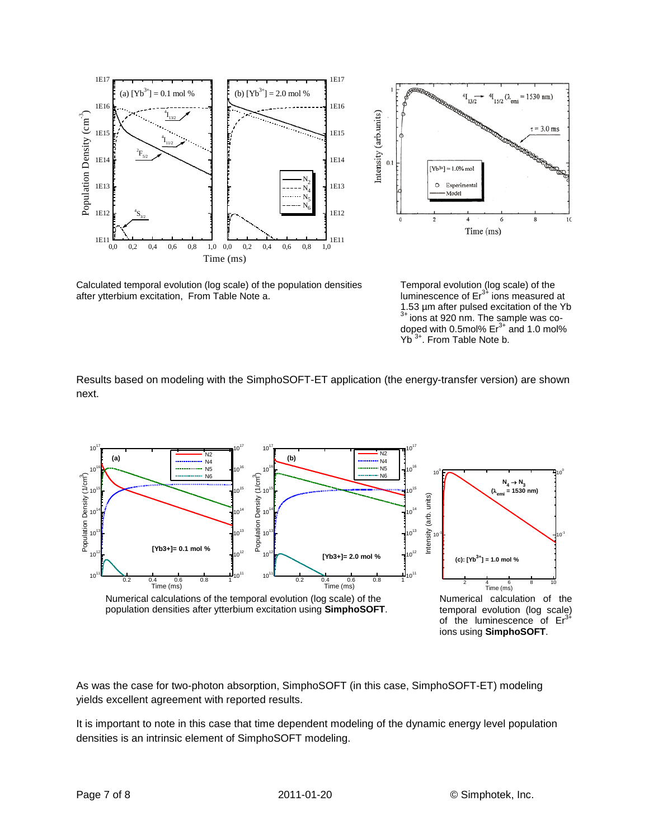



Calculated temporal evolution (log scale) of the population densities after ytterbium excitation, From Table Note a.

Temporal evolution (log scale) of the luminescence of  $Er<sup>3+</sup>$  ions measured at 1.53 µm after pulsed excitation of the Yb<br><sup>3+</sup> ions at 920 nm. The sample was codoped with 0.5mol%  $Er<sup>3+</sup>$  and 1.0 mol% Yb<sup>3+</sup>. From Table Note b.

Results based on modeling with the SimphoSOFT-ET application (the energy-transfer version) are shown next.



ions using **SimphoSOFT**.

As was the case for two-photon absorption, SimphoSOFT (in this case, SimphoSOFT-ET) modeling yields excellent agreement with reported results.

It is important to note in this case that time dependent modeling of the dynamic energy level population densities is an intrinsic element of SimphoSOFT modeling.